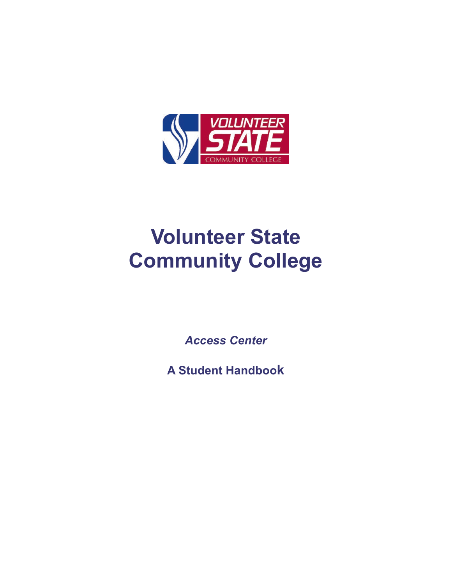

# **Volunteer State Community College**

*Access Center*

**A Student Handbook**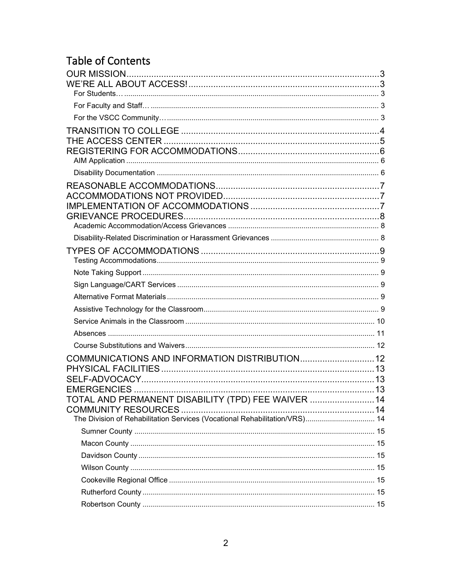# Table of Contents

| TOTAL AND PERMANENT DISABILITY (TPD) FEE WAIVER  14                        |  |
|----------------------------------------------------------------------------|--|
| The Division of Rehabilitation Services (Vocational Rehabilitation/VRS) 14 |  |
|                                                                            |  |
|                                                                            |  |
|                                                                            |  |
|                                                                            |  |
|                                                                            |  |
|                                                                            |  |
|                                                                            |  |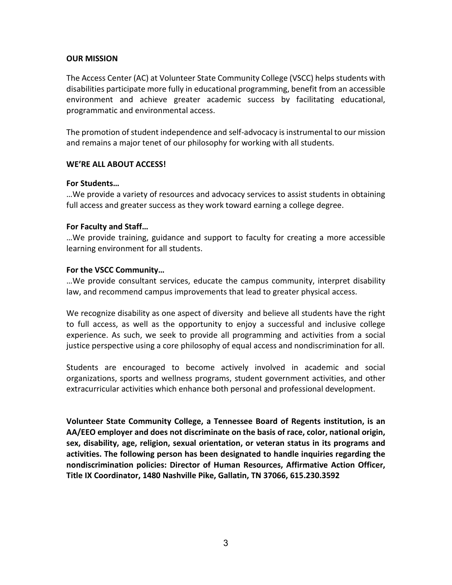# <span id="page-2-0"></span>**OUR MISSION**

The Access Center (AC) at Volunteer State Community College (VSCC) helps students with disabilities participate more fully in educational programming, benefit from an accessible environment and achieve greater academic success by facilitating educational, programmatic and environmental access.

The promotion of student independence and self-advocacy is instrumental to our mission and remains a major tenet of our philosophy for working with all students.

# <span id="page-2-1"></span>**WE'RE ALL ABOUT ACCESS!**

### <span id="page-2-2"></span>**For Students…**

…We provide a variety of resources and advocacy services to assist students in obtaining full access and greater success as they work toward earning a college degree.

### <span id="page-2-3"></span>**For Faculty and Staff…**

…We provide training, guidance and support to faculty for creating a more accessible learning environment for all students.

### <span id="page-2-4"></span>**For the VSCC Community…**

…We provide consultant services, educate the campus community, interpret disability law, and recommend campus improvements that lead to greater physical access.

We recognize disability as one aspect of diversity and believe all students have the right to full access, as well as the opportunity to enjoy a successful and inclusive college experience. As such, we seek to provide all programming and activities from a social justice perspective using a core philosophy of equal access and nondiscrimination for all.

Students are encouraged to become actively involved in academic and social organizations, sports and wellness programs, student government activities, and other extracurricular activities which enhance both personal and professional development.

**Volunteer State Community College, a [Tennessee Board of Regents](http://www.tbr.edu/) institution, is an AA/EEO employer and does not discriminate on the basis of race, color, national origin, sex, disability, age, religion, sexual orientation, or veteran status in its programs and activities. The following person has been designated to handle inquiries regarding the nondiscrimination policies: Director of Human Resources, Affirmative Action Officer, Title IX Coordinator, 1480 Nashville Pike, Gallatin, TN 37066, 615.230.3592**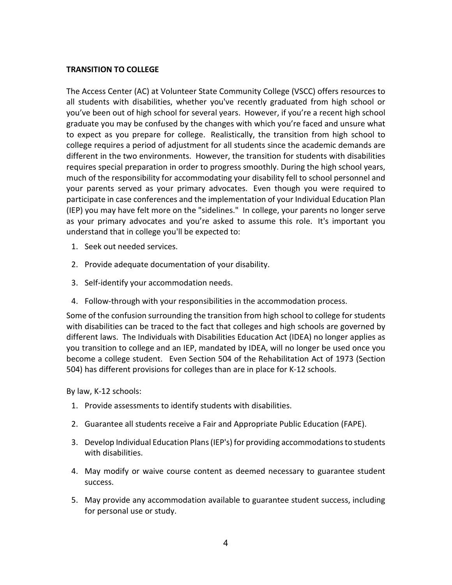# <span id="page-3-0"></span>**TRANSITION TO COLLEGE**

The Access Center (AC) at Volunteer State Community College (VSCC) offers resources to all students with disabilities, whether you've recently graduated from high school or you've been out of high school for several years. However, if you're a recent high school graduate you may be confused by the changes with which you're faced and unsure what to expect as you prepare for college. Realistically, the transition from high school to college requires a period of adjustment for all students since the academic demands are different in the two environments. However, the transition for students with disabilities requires special preparation in order to progress smoothly. During the high school years, much of the responsibility for accommodating your disability fell to school personnel and your parents served as your primary advocates. Even though you were required to participate in case conferences and the implementation of your Individual Education Plan (IEP) you may have felt more on the "sidelines." In college, your parents no longer serve as your primary advocates and you're asked to assume this role. It's important you understand that in college you'll be expected to:

- 1. Seek out needed services.
- 2. Provide adequate documentation of your disability.
- 3. Self-identify your accommodation needs.
- 4. Follow-through with your responsibilities in the accommodation process.

Some of the confusion surrounding the transition from high school to college for students with disabilities can be traced to the fact that colleges and high schools are governed by different laws. The Individuals with Disabilities Education Act (IDEA) no longer applies as you transition to college and an IEP, mandated by IDEA, will no longer be used once you become a college student. Even Section 504 of the Rehabilitation Act of 1973 (Section 504) has different provisions for colleges than are in place for K-12 schools.

By law, K-12 schools:

- 1. Provide assessments to identify students with disabilities.
- 2. Guarantee all students receive a Fair and Appropriate Public Education (FAPE).
- 3. Develop Individual Education Plans (IEP's) for providing accommodations to students with disabilities.
- 4. May modify or waive course content as deemed necessary to guarantee student success.
- 5. May provide any accommodation available to guarantee student success, including for personal use or study.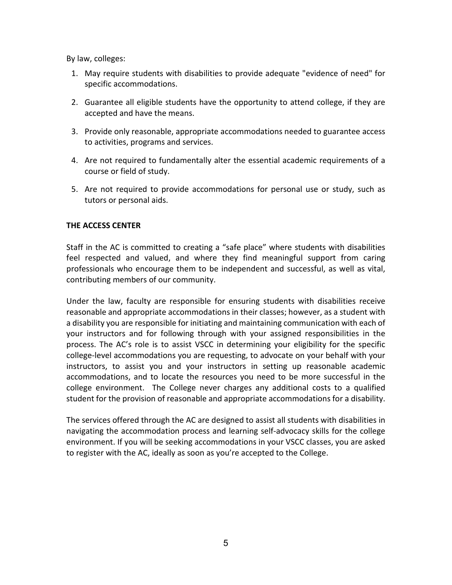By law, colleges:

- 1. May require students with disabilities to provide adequate "evidence of need" for specific accommodations.
- 2. Guarantee all eligible students have the opportunity to attend college, if they are accepted and have the means.
- 3. Provide only reasonable, appropriate accommodations needed to guarantee access to activities, programs and services.
- 4. Are not required to fundamentally alter the essential academic requirements of a course or field of study.
- 5. Are not required to provide accommodations for personal use or study, such as tutors or personal aids.

# <span id="page-4-0"></span>**THE ACCESS CENTER**

Staff in the AC is committed to creating a "safe place" where students with disabilities feel respected and valued, and where they find meaningful support from caring professionals who encourage them to be independent and successful, as well as vital, contributing members of our community.

Under the law, faculty are responsible for ensuring students with disabilities receive reasonable and appropriate accommodations in their classes; however, as a student with a disability you are responsible for initiating and maintaining communication with each of your instructors and for following through with your assigned responsibilities in the process. The AC's role is to assist VSCC in determining your eligibility for the specific college-level accommodations you are requesting, to advocate on your behalf with your instructors, to assist you and your instructors in setting up reasonable academic accommodations, and to locate the resources you need to be more successful in the college environment. The College never charges any additional costs to a qualified student for the provision of reasonable and appropriate accommodations for a disability.

The services offered through the AC are designed to assist all students with disabilities in navigating the accommodation process and learning self-advocacy skills for the college environment. If you will be seeking accommodations in your VSCC classes, you are asked to register with the AC, ideally as soon as you're accepted to the College.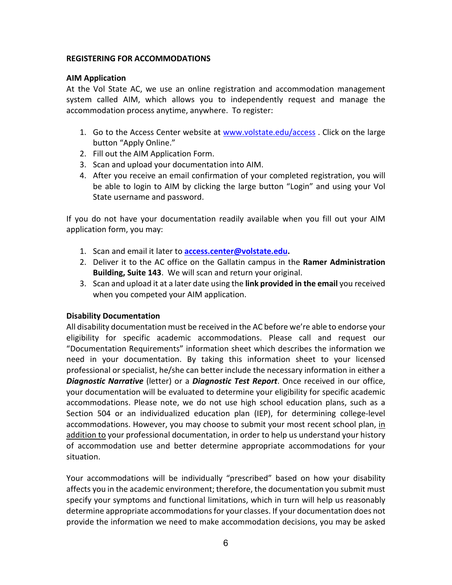# <span id="page-5-0"></span>**REGISTERING FOR ACCOMMODATIONS**

# <span id="page-5-1"></span>**AIM Application**

At the Vol State AC, we use an online registration and accommodation management system called AIM, which allows you to independently request and manage the accommodation process anytime, anywhere. To register:

- 1. Go to the Access Center website at [www.volstate.edu/access](http://www.volstate.edu/access) . Click on the large button "Apply Online."
- 2. Fill out the AIM Application Form.
- 3. Scan and upload your documentation into AIM.
- 4. After you receive an email confirmation of your completed registration, you will be able to login to AIM by clicking the large button "Login" and using your Vol State username and password.

If you do not have your documentation readily available when you fill out your AIM application form, you may:

- 1. Scan and email it later to **[access.center@volstate.edu.](mailto:access.center@volstate.edu)**
- 2. Deliver it to the AC office on the Gallatin campus in the **Ramer Administration Building, Suite 143**. We will scan and return your original.
- 3. Scan and upload it at a later date using the **link provided in the email** you received when you competed your AIM application.

# <span id="page-5-2"></span>**Disability Documentation**

All disability documentation must be received in the AC before we're able to endorse your eligibility for specific academic accommodations. Please call and request our "Documentation Requirements" information sheet which describes the information we need in your documentation. By taking this information sheet to your licensed professional or specialist, he/she can better include the necessary information in either a *Diagnostic Narrative* (letter) or a *Diagnostic Test Report*. Once received in our office, your documentation will be evaluated to determine your eligibility for specific academic accommodations. Please note, we do not use high school education plans, such as a Section 504 or an individualized education plan (IEP), for determining college-level accommodations. However, you may choose to submit your most recent school plan, in addition to your professional documentation, in order to help us understand your history of accommodation use and better determine appropriate accommodations for your situation.

Your accommodations will be individually "prescribed" based on how your disability affects you in the academic environment; therefore, the documentation you submit must specify your symptoms and functional limitations, which in turn will help us reasonably determine appropriate accommodations for your classes. If your documentation does not provide the information we need to make accommodation decisions, you may be asked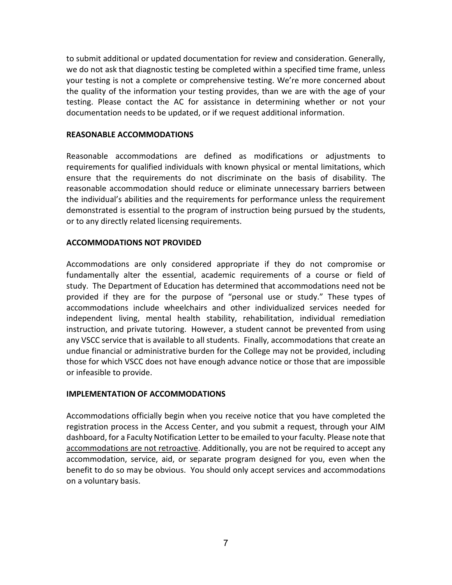to submit additional or updated documentation for review and consideration. Generally, we do not ask that diagnostic testing be completed within a specified time frame, unless your testing is not a complete or comprehensive testing. We're more concerned about the quality of the information your testing provides, than we are with the age of your testing. Please contact the AC for assistance in determining whether or not your documentation needs to be updated, or if we request additional information.

### <span id="page-6-0"></span>**REASONABLE ACCOMMODATIONS**

Reasonable accommodations are defined as modifications or adjustments to requirements for qualified individuals with known physical or mental limitations, which ensure that the requirements do not discriminate on the basis of disability. The reasonable accommodation should reduce or eliminate unnecessary barriers between the individual's abilities and the requirements for performance unless the requirement demonstrated is essential to the program of instruction being pursued by the students, or to any directly related licensing requirements.

### <span id="page-6-1"></span>**ACCOMMODATIONS NOT PROVIDED**

Accommodations are only considered appropriate if they do not compromise or fundamentally alter the essential, academic requirements of a course or field of study. The Department of Education has determined that accommodations need not be provided if they are for the purpose of "personal use or study." These types of accommodations include wheelchairs and other individualized services needed for independent living, mental health stability, rehabilitation, individual remediation instruction, and private tutoring. However, a student cannot be prevented from using any VSCC service that is available to all students. Finally, accommodations that create an undue financial or administrative burden for the College may not be provided, including those for which VSCC does not have enough advance notice or those that are impossible or infeasible to provide.

#### <span id="page-6-2"></span>**IMPLEMENTATION OF ACCOMMODATIONS**

Accommodations officially begin when you receive notice that you have completed the registration process in the Access Center, and you submit a request, through your AIM dashboard, for a Faculty Notification Letter to be emailed to your faculty. Please note that accommodations are not retroactive. Additionally, you are not be required to accept any accommodation, service, aid, or separate program designed for you, even when the benefit to do so may be obvious. You should only accept services and accommodations on a voluntary basis.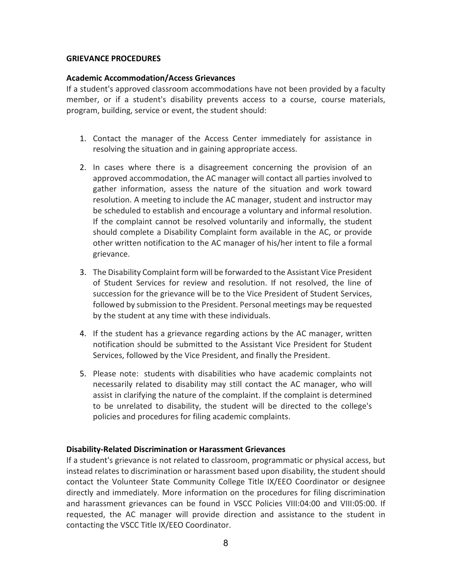# <span id="page-7-0"></span>**GRIEVANCE PROCEDURES**

### <span id="page-7-1"></span>**Academic Accommodation/Access Grievances**

If a student's approved classroom accommodations have not been provided by a faculty member, or if a student's disability prevents access to a course, course materials, program, building, service or event, the student should:

- 1. Contact the manager of the Access Center immediately for assistance in resolving the situation and in gaining appropriate access.
- 2. In cases where there is a disagreement concerning the provision of an approved accommodation, the AC manager will contact all parties involved to gather information, assess the nature of the situation and work toward resolution. A meeting to include the AC manager, student and instructor may be scheduled to establish and encourage a voluntary and informal resolution. If the complaint cannot be resolved voluntarily and informally, the student should complete a Disability Complaint form available in the AC, or provide other written notification to the AC manager of his/her intent to file a formal grievance.
- 3. The Disability Complaint form will be forwarded to the Assistant Vice President of Student Services for review and resolution. If not resolved, the line of succession for the grievance will be to the Vice President of Student Services, followed by submission to the President. Personal meetings may be requested by the student at any time with these individuals.
- 4. If the student has a grievance regarding actions by the AC manager, written notification should be submitted to the Assistant Vice President for Student Services, followed by the Vice President, and finally the President.
- 5. Please note: students with disabilities who have academic complaints not necessarily related to disability may still contact the AC manager, who will assist in clarifying the nature of the complaint. If the complaint is determined to be unrelated to disability, the student will be directed to the college's policies and procedures for filing academic complaints.

# <span id="page-7-2"></span>**Disability-Related Discrimination or Harassment Grievances**

If a student's grievance is not related to classroom, programmatic or physical access, but instead relates to discrimination or harassment based upon disability, the student should contact the Volunteer State Community College Title IX/EEO Coordinator or designee directly and immediately. More information on the procedures for filing discrimination and harassment grievances can be found in VSCC Policies VIII:04:00 and VIII:05:00. If requested, the AC manager will provide direction and assistance to the student in contacting the VSCC Title IX/EEO Coordinator.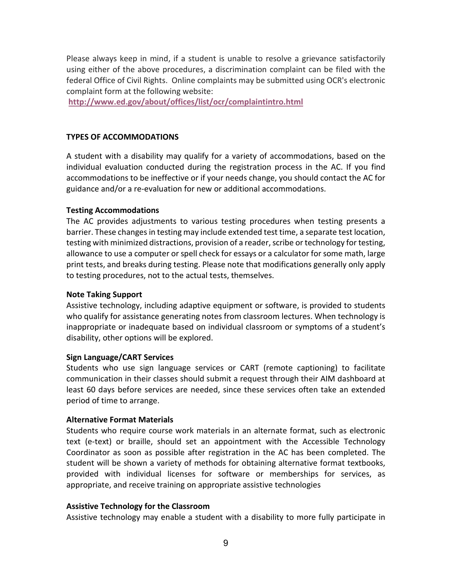Please always keep in mind, if a student is unable to resolve a grievance satisfactorily using either of the above procedures, a discrimination complaint can be filed with the federal Office of Civil Rights. Online complaints may be submitted using OCR's electronic complaint form at the following website:

**<http://www.ed.gov/about/offices/list/ocr/complaintintro.html>**

### <span id="page-8-0"></span>**TYPES OF ACCOMMODATIONS**

A student with a disability may qualify for a variety of accommodations, based on the individual evaluation conducted during the registration process in the AC. If you find accommodations to be ineffective or if your needs change, you should contact the AC for guidance and/or a re-evaluation for new or additional accommodations.

### <span id="page-8-1"></span>**Testing Accommodations**

The AC provides adjustments to various testing procedures when testing presents a barrier. These changes in testing may include extended test time, a separate test location, testing with minimized distractions, provision of a reader, scribe or technology for testing, allowance to use a computer or spell check for essays or a calculator for some math, large print tests, and breaks during testing. Please note that modifications generally only apply to testing procedures, not to the actual tests, themselves.

#### <span id="page-8-2"></span>**Note Taking Support**

Assistive technology, including adaptive equipment or software, is provided to students who qualify for assistance generating notes from classroom lectures. When technology is inappropriate or inadequate based on individual classroom or symptoms of a student's disability, other options will be explored.

# <span id="page-8-3"></span>**Sign Language/CART Services**

Students who use sign language services or CART (remote captioning) to facilitate communication in their classes should submit a request through their AIM dashboard at least 60 days before services are needed, since these services often take an extended period of time to arrange.

# <span id="page-8-4"></span>**Alternative Format Materials**

Students who require course work materials in an alternate format, such as electronic text (e-text) or braille, should set an appointment with the Accessible Technology Coordinator as soon as possible after registration in the AC has been completed. The student will be shown a variety of methods for obtaining alternative format textbooks, provided with individual licenses for software or memberships for services, as appropriate, and receive training on appropriate assistive technologies

#### <span id="page-8-5"></span>**Assistive Technology for the Classroom**

Assistive technology may enable a student with a disability to more fully participate in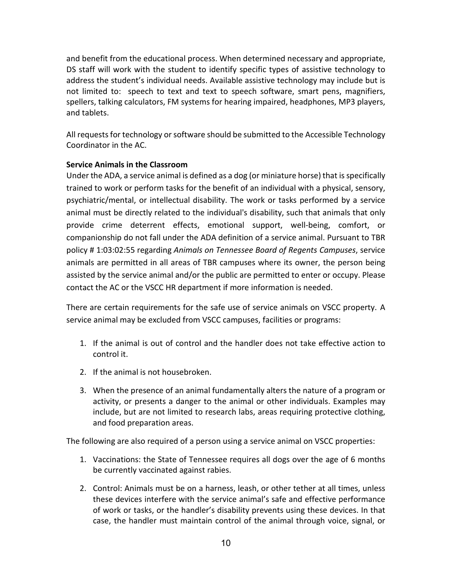and benefit from the educational process. When determined necessary and appropriate, DS staff will work with the student to identify specific types of assistive technology to address the student's individual needs. Available assistive technology may include but is not limited to: speech to text and text to speech software, smart pens, magnifiers, spellers, talking calculators, FM systems for hearing impaired, headphones, MP3 players, and tablets.

All requests for technology or software should be submitted to the Accessible Technology Coordinator in the AC.

# <span id="page-9-0"></span>**Service Animals in the Classroom**

Under the ADA, a service animal is defined as a dog (or miniature horse) that is specifically trained to work or perform tasks for the benefit of an individual with a physical, sensory, psychiatric/mental, or intellectual disability. The work or tasks performed by a service animal must be directly related to the individual's disability, such that animals that only provide crime deterrent effects, emotional support, well-being, comfort, or companionship do not fall under the ADA definition of a service animal. Pursuant to TBR policy # 1:03:02:55 regarding *Animals on Tennessee Board of Regents Campuses*, service animals are permitted in all areas of TBR campuses where its owner, the person being assisted by the service animal and/or the public are permitted to enter or occupy. Please contact the AC or the VSCC HR department if more information is needed.

There are certain requirements for the safe use of service animals on VSCC property. A service animal may be excluded from VSCC campuses, facilities or programs:

- 1. If the animal is out of control and the handler does not take effective action to control it.
- 2. If the animal is not housebroken.
- 3. When the presence of an animal fundamentally alters the nature of a program or activity, or presents a danger to the animal or other individuals. Examples may include, but are not limited to research labs, areas requiring protective clothing, and food preparation areas.

The following are also required of a person using a service animal on VSCC properties:

- 1. Vaccinations: the State of Tennessee requires all dogs over the age of 6 months be currently vaccinated against rabies.
- 2. Control: Animals must be on a harness, leash, or other tether at all times, unless these devices interfere with the service animal's safe and effective performance of work or tasks, or the handler's disability prevents using these devices. In that case, the handler must maintain control of the animal through voice, signal, or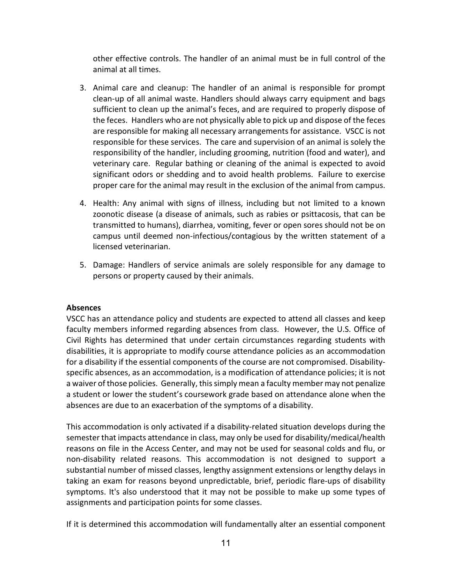other effective controls. The handler of an animal must be in full control of the animal at all times.

- 3. Animal care and cleanup: The handler of an animal is responsible for prompt clean-up of all animal waste. Handlers should always carry equipment and bags sufficient to clean up the animal's feces, and are required to properly dispose of the feces. Handlers who are not physically able to pick up and dispose of the feces are responsible for making all necessary arrangements for assistance. VSCC is not responsible for these services. The care and supervision of an animal is solely the responsibility of the handler, including grooming, nutrition (food and water), and veterinary care. Regular bathing or cleaning of the animal is expected to avoid significant odors or shedding and to avoid health problems. Failure to exercise proper care for the animal may result in the exclusion of the animal from campus.
- 4. Health: Any animal with signs of illness, including but not limited to a known zoonotic disease (a disease of animals, such as rabies or psittacosis, that can be transmitted to humans), diarrhea, vomiting, fever or open sores should not be on campus until deemed non-infectious/contagious by the written statement of a licensed veterinarian.
- 5. Damage: Handlers of service animals are solely responsible for any damage to persons or property caused by their animals.

# <span id="page-10-0"></span>**Absences**

VSCC has an attendance policy and students are expected to attend all classes and keep faculty members informed regarding absences from class. However, the U.S. Office of Civil Rights has determined that under certain circumstances regarding students with disabilities, it is appropriate to modify course attendance policies as an accommodation for a disability if the essential components of the course are not compromised. Disabilityspecific absences, as an accommodation, is a modification of attendance policies; it is not a waiver of those policies. Generally, this simply mean a faculty member may not penalize a student or lower the student's coursework grade based on attendance alone when the absences are due to an exacerbation of the symptoms of a disability.

This accommodation is only activated if a disability-related situation develops during the semester that impacts attendance in class, may only be used for disability/medical/health reasons on file in the Access Center, and may not be used for seasonal colds and flu, or non-disability related reasons. This accommodation is not designed to support a substantial number of missed classes, lengthy assignment extensions or lengthy delays in taking an exam for reasons beyond unpredictable, brief, periodic flare-ups of disability symptoms. It's also understood that it may not be possible to make up some types of assignments and participation points for some classes.

If it is determined this accommodation will fundamentally alter an essential component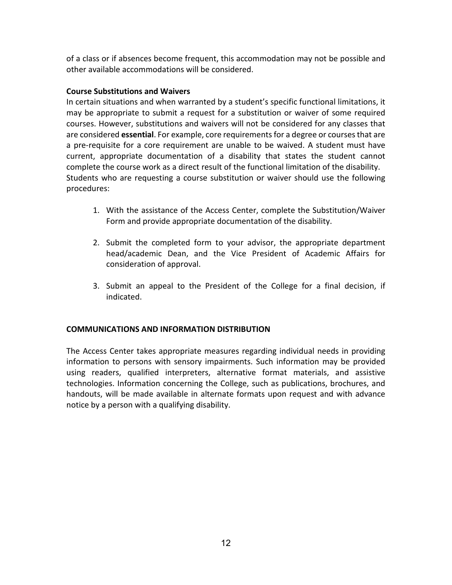of a class or if absences become frequent, this accommodation may not be possible and other available accommodations will be considered.

# <span id="page-11-0"></span>**Course Substitutions and Waivers**

In certain situations and when warranted by a student's specific functional limitations, it may be appropriate to submit a request for a substitution or waiver of some required courses. However, substitutions and waivers will not be considered for any classes that are considered **essential**. For example, core requirements for a degree or courses that are a pre-requisite for a core requirement are unable to be waived. A student must have current, appropriate documentation of a disability that states the student cannot complete the course work as a direct result of the functional limitation of the disability. Students who are requesting a course substitution or waiver should use the following procedures:

- 1. With the assistance of the Access Center, complete the Substitution/Waiver Form and provide appropriate documentation of the disability.
- 2. Submit the completed form to your advisor, the appropriate department head/academic Dean, and the Vice President of Academic Affairs for consideration of approval.
- 3. Submit an appeal to the President of the College for a final decision, if indicated.

# <span id="page-11-1"></span>**COMMUNICATIONS AND INFORMATION DISTRIBUTION**

The Access Center takes appropriate measures regarding individual needs in providing information to persons with sensory impairments. Such information may be provided using readers, qualified interpreters, alternative format materials, and assistive technologies. Information concerning the College, such as publications, brochures, and handouts, will be made available in alternate formats upon request and with advance notice by a person with a qualifying disability.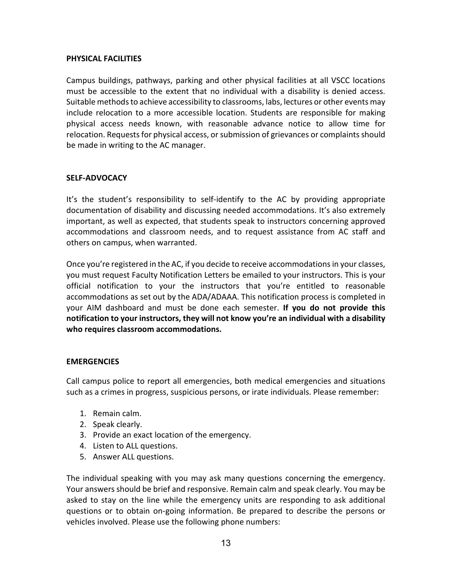# <span id="page-12-0"></span>**PHYSICAL FACILITIES**

Campus buildings, pathways, parking and other physical facilities at all VSCC locations must be accessible to the extent that no individual with a disability is denied access. Suitable methods to achieve accessibility to classrooms, labs, lectures or other events may include relocation to a more accessible location. Students are responsible for making physical access needs known, with reasonable advance notice to allow time for relocation. Requests for physical access, or submission of grievances or complaints should be made in writing to the AC manager.

# <span id="page-12-1"></span>**SELF-ADVOCACY**

It's the student's responsibility to self-identify to the AC by providing appropriate documentation of disability and discussing needed accommodations. It's also extremely important, as well as expected, that students speak to instructors concerning approved accommodations and classroom needs, and to request assistance from AC staff and others on campus, when warranted.

Once you're registered in the AC, if you decide to receive accommodations in your classes, you must request Faculty Notification Letters be emailed to your instructors. This is your official notification to your the instructors that you're entitled to reasonable accommodations as set out by the ADA/ADAAA. This notification process is completed in your AIM dashboard and must be done each semester. **If you do not provide this notification to your instructors, they will not know you're an individual with a disability who requires classroom accommodations.**

# <span id="page-12-2"></span>**EMERGENCIES**

Call campus police to report all emergencies, both medical emergencies and situations such as a crimes in progress, suspicious persons, or irate individuals. Please remember:

- 1. Remain calm.
- 2. Speak clearly.
- 3. Provide an exact location of the emergency.
- 4. Listen to ALL questions.
- 5. Answer ALL questions.

The individual speaking with you may ask many questions concerning the emergency. Your answers should be brief and responsive. Remain calm and speak clearly. You may be asked to stay on the line while the emergency units are responding to ask additional questions or to obtain on-going information. Be prepared to describe the persons or vehicles involved. Please use the following phone numbers: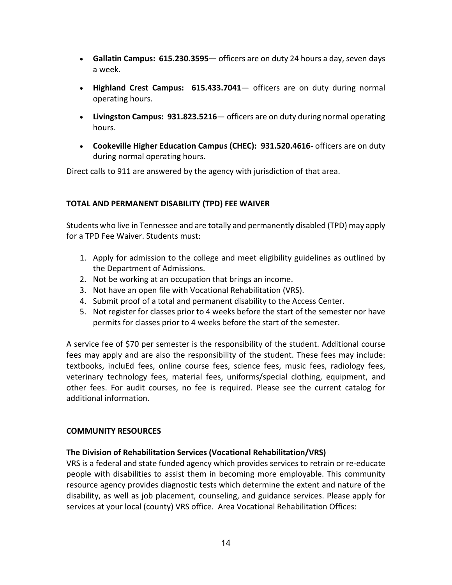- **Gallatin Campus: 615.230.3595** officers are on duty 24 hours a day, seven days a week.
- **Highland Crest Campus: 615.433.7041** officers are on duty during normal operating hours.
- **Livingston Campus: 931.823.5216** officers are on duty during normal operating hours.
- **Cookeville Higher Education Campus (CHEC): 931.520.4616** officers are on duty during normal operating hours.

Direct calls to 911 are answered by the agency with jurisdiction of that area.

# <span id="page-13-0"></span>**TOTAL AND PERMANENT DISABILITY (TPD) FEE WAIVER**

Students who live in Tennessee and are totally and permanently disabled (TPD) may apply for a TPD Fee Waiver. Students must:

- 1. Apply for admission to the college and meet eligibility guidelines as outlined by the Department of Admissions.
- 2. Not be working at an occupation that brings an income.
- 3. Not have an open file with Vocational Rehabilitation (VRS).
- 4. Submit proof of a total and permanent disability to the Access Center.
- 5. Not register for classes prior to 4 weeks before the start of the semester nor have permits for classes prior to 4 weeks before the start of the semester.

A service fee of \$70 per semester is the responsibility of the student. Additional course fees may apply and are also the responsibility of the student. These fees may include: textbooks, incluEd fees, online course fees, science fees, music fees, radiology fees, veterinary technology fees, material fees, uniforms/special clothing, equipment, and other fees. For audit courses, no fee is required. Please see the current catalog for additional information.

# <span id="page-13-1"></span>**COMMUNITY RESOURCES**

# <span id="page-13-2"></span>**The Division of Rehabilitation Services (Vocational Rehabilitation/VRS)**

VRS is a federal and state funded agency which provides services to retrain or re-educate people with disabilities to assist them in becoming more employable. This community resource agency provides diagnostic tests which determine the extent and nature of the disability, as well as job placement, counseling, and guidance services. Please apply for services at your local (county) VRS office. Area Vocational Rehabilitation Offices: